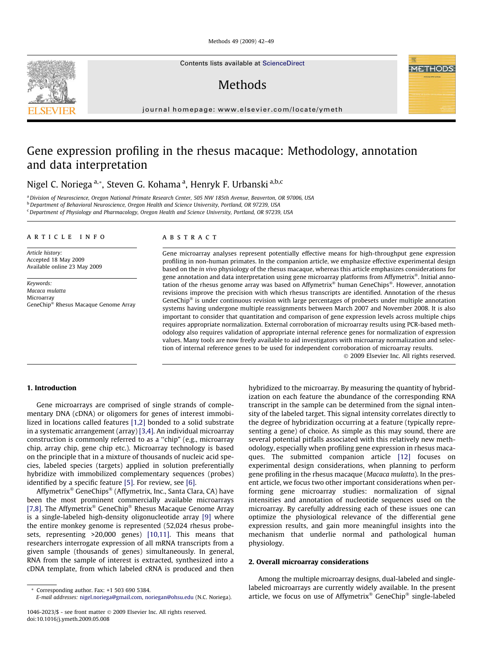Methods 49 (2009) 42–49

Contents lists available at [ScienceDirect](http://www.sciencedirect.com/science/journal/10462023)

# Methods

journal homepage: [www.elsevier.com/locate/ymeth](http://www.elsevier.com/locate/ymeth)

# Gene expression profiling in the rhesus macaque: Methodology, annotation and data interpretation

Nigel C. Noriega <sup>a,</sup>\*, Steven G. Kohama <sup>a</sup>, Henryk F. Urbanski <sup>a,b,c</sup>

a Division of Neuroscience, Oregon National Primate Research Center, 505 NW 185th Avenue, Beaverton, OR 97006, USA <sup>b</sup> Department of Behavioral Neuroscience, Oregon Health and Science University, Portland, OR 97239, USA <sup>c</sup> Department of Physiology and Pharmacology, Oregon Health and Science University, Portland, OR 97239, USA

### article info

Article history: Accepted 18 May 2009 Available online 23 May 2009

Keywords: Macaca mulatta Microarray GeneChip® Rhesus Macaque Genome Array

# ABSTRACT

Gene microarray analyses represent potentially effective means for high-throughput gene expression profiling in non-human primates. In the companion article, we emphasize effective experimental design based on the in vivo physiology of the rhesus macaque, whereas this article emphasizes considerations for gene annotation and data interpretation using gene microarray platforms from Affymetrix®. Initial annotation of the rhesus genome array was based on Affymetrix® human GeneChips®. However, annotation revisions improve the precision with which rhesus transcripts are identified. Annotation of the rhesus GeneChip® is under continuous revision with large percentages of probesets under multiple annotation systems having undergone multiple reassignments between March 2007 and November 2008. It is also important to consider that quantitation and comparison of gene expression levels across multiple chips requires appropriate normalization. External corroboration of microarray results using PCR-based methodology also requires validation of appropriate internal reference genes for normalization of expression values. Many tools are now freely available to aid investigators with microarray normalization and selection of internal reference genes to be used for independent corroboration of microarray results.

2009 Elsevier Inc. All rights reserved.

# 1. Introduction

Gene microarrays are comprised of single strands of complementary DNA (cDNA) or oligomers for genes of interest immobilized in locations called features [\[1,2\]](#page-7-0) bonded to a solid substrate in a systematic arrangement (array) [\[3,4\]](#page-7-0). An individual microarray construction is commonly referred to as a ''chip" (e.g., microarray chip, array chip, gene chip etc.). Microarray technology is based on the principle that in a mixture of thousands of nucleic acid species, labeled species (targets) applied in solution preferentially hybridize with immobilized complementary sequences (probes) identified by a specific feature [\[5\]](#page-7-0). For review, see [\[6\].](#page-7-0)

Affymetrix® GeneChips® (Affymetrix, Inc., Santa Clara, CA) have been the most prominent commercially available microarrays [\[7,8\]](#page-7-0). The Affymetrix<sup>®</sup> GeneChip<sup>®</sup> Rhesus Macaque Genome Array is a single-labeled high-density oligonucleotide array [\[9\]](#page-7-0) where the entire monkey genome is represented (52,024 rhesus probesets, representing >20,000 genes) [\[10,11\].](#page-7-0) This means that researchers interrogate expression of all mRNA transcripts from a given sample (thousands of genes) simultaneously. In general, RNA from the sample of interest is extracted, synthesized into a cDNA template, from which labeled cRNA is produced and then hybridized to the microarray. By measuring the quantity of hybridization on each feature the abundance of the corresponding RNA transcript in the sample can be determined from the signal intensity of the labeled target. This signal intensity correlates directly to the degree of hybridization occurring at a feature (typically representing a gene) of choice. As simple as this may sound, there are several potential pitfalls associated with this relatively new methodology, especially when profiling gene expression in rhesus macaques. The submitted companion article [\[12\]](#page-7-0) focuses on experimental design considerations, when planning to perform gene profiling in the rhesus macaque (Macaca mulatta). In the present article, we focus two other important considerations when performing gene microarray studies: normalization of signal intensities and annotation of nucleotide sequences used on the microarray. By carefully addressing each of these issues one can optimize the physiological relevance of the differential gene expression results, and gain more meaningful insights into the mechanism that underlie normal and pathological human physiology.

# 2. Overall microarray considerations

Among the multiple microarray designs, dual-labeled and singlelabeled microarrays are currently widely available. In the present article, we focus on use of Affymetrix® GeneChip® single-labeled



<sup>\*</sup> Corresponding author. Fax: +1 503 690 5384.

E-mail addresses: [nigel.noriega@gmail.com](mailto:nigel.noriega@gmail.com), [noriegan@ohsu.edu](mailto:noriegan@ohsu.edu) (N.C. Noriega).

<sup>1046-2023/\$ -</sup> see front matter 2009 Elsevier Inc. All rights reserved. doi:10.1016/j.ymeth.2009.05.008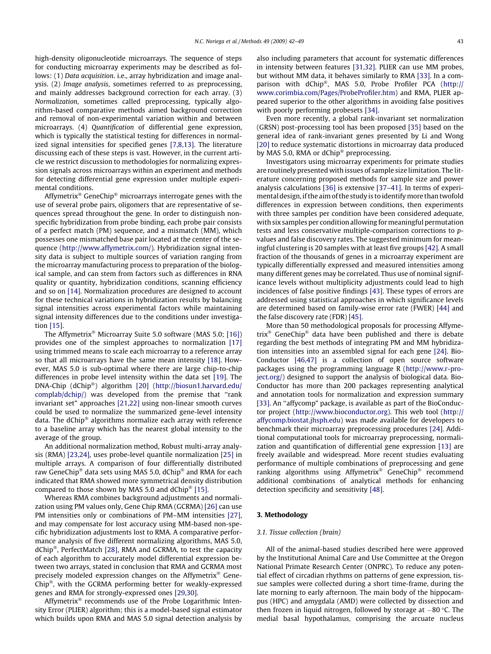high-density oligonucleotide microarrays. The sequence of steps for conducting microarray experiments may be described as follows: (1) Data acquisition. i.e., array hybridization and image analysis. (2) Image analysis, sometimes referred to as preprocessing, and mainly addresses background correction for each array. (3) Normalization, sometimes called preprocessing, typically algorithm-based comparative methods aimed background correction and removal of non-experimental variation within and between microarrays. (4) Quantification of differential gene expression, which is typically the statistical testing for differences in normalized signal intensities for specified genes [\[7,8,13\]](#page-7-0). The literature discussing each of these steps is vast. However, in the current article we restrict discussion to methodologies for normalizing expression signals across microarrays within an experiment and methods for detecting differential gene expression under multiple experimental conditions.

Affymetrix® GeneChip® microarrays interrogate genes with the use of several probe pairs, oligomers that are representative of sequences spread throughout the gene. In order to distinguish nonspecific hybridization from probe binding, each probe pair consists of a perfect match (PM) sequence, and a mismatch (MM), which possesses one mismatched base pair located at the center of the sequence [\(http://www.affymetrix.com/](http://www.affymetrix.com/)). Hybridization signal intensity data is subject to multiple sources of variation ranging from the microarray manufacturing process to preparation of the biological sample, and can stem from factors such as differences in RNA quality or quantity, hybridization conditions, scanning efficiency and so on [\[14\]](#page-7-0). Normalization procedures are designed to account for these technical variations in hybridization results by balancing signal intensities across experimental factors while maintaining signal intensity differences due to the conditions under investigation [\[15\].](#page-7-0)

The Affymetrix $^{\circledast}$  Microarray Suite 5.0 software (MAS 5.0; [\[16\]\)](#page-7-0) provides one of the simplest approaches to normalization [\[17\]](#page-7-0) using trimmed means to scale each microarray to a reference array so that all microarrays have the same mean intensity [\[18\].](#page-7-0) However, MAS 5.0 is sub-optimal where there are large chip-to-chip differences in probe level intensity within the data set [\[19\]](#page-7-0). The DNA-Chip (dChip®) algorithm [\[20\]](#page-7-0) ([http://biosun1.harvard.edu/](http://biosun1.harvard.edu/complab/dchip/) [complab/dchip/\)](http://biosun1.harvard.edu/complab/dchip/) was developed from the premise that ''rank invariant set" approaches [\[21,22\]](#page-7-0) using non-linear smooth curves could be used to normalize the summarized gene-level intensity data. The dChip® algorithms normalize each array with reference to a baseline array which has the nearest global intensity to the average of the group.

An additional normalization method, Robust multi-array analysis (RMA) [\[23,24\],](#page-7-0) uses probe-level quantile normalization [\[25\]](#page-7-0) in multiple arrays. A comparison of four differentially distributed raw GeneChip® data sets using MAS 5.0, dChip® and RMA for each indicated that RMA showed more symmetrical density distribution compared to those shown by MAS 5.0 and dChip $^{\circ\circ}$  [\[15\]](#page-7-0).

Whereas RMA combines background adjustments and normalization using PM values only, Gene Chip RMA (GCRMA) [\[26\]](#page-7-0) can use PM intensities only or combinations of PM–MM intensities [\[27\],](#page-7-0) and may compensate for lost accuracy using MM-based non-specific hybridization adjustments lost to RMA. A comparative performance analysis of five different normalizing algorithms, MAS 5.0, dChip<sup>®</sup>, PerfectMatch [\[28\],](#page-7-0) RMA and GCRMA, to test the capacity of each algorithm to accurately model differential expression between two arrays, stated in conclusion that RMA and GCRMA most precisely modeled expression changes on the Affymetrix® Gene-Chip<sup>®</sup>, with the GCRMA performing better for weakly-expressed genes and RMA for strongly-expressed ones [\[29,30\].](#page-7-0)

Affymetrix<sup>®</sup> recommends use of the Probe Logarithmic Intensity Error (PLIER) algorithm; this is a model-based signal estimator which builds upon RMA and MAS 5.0 signal detection analysis by also including parameters that account for systematic differences in intensity between features [\[31,32\]](#page-7-0). PLIER can use MM probes, but without MM data, it behaves similarly to RMA [\[33\].](#page-7-0) In a comparison with dChip®, MAS 5.0, Probe Profiler PCA ([http://](http://www.corimbia.com/Pages/ProbeProfiler.htm) [www.corimbia.com/Pages/ProbeProfiler.htm](http://www.corimbia.com/Pages/ProbeProfiler.htm)) and RMA, PLIER appeared superior to the other algorithms in avoiding false positives with poorly performing probesets [\[34\]](#page-7-0).

Even more recently, a global rank-invariant set normalization (GRSN) post-processing tool has been proposed [\[35\]](#page-7-0) based on the general idea of rank-invariant genes presented by Li and Wong [\[20\]](#page-7-0) to reduce systematic distortions in microarray data produced by MAS 5.0, RMA or dChip® preprocessing.

Investigators using microarray experiments for primate studies are routinely presented with issues of sample size limitation. The literature concerning proposed methods for sample size and power analysis calculations [\[36\]](#page-7-0) is extensive [\[37–41\].](#page-7-0) In terms of experimental design, if the aim of the study is to identifymore than twofold differences in expression between conditions, then experiments with three samples per condition have been considered adequate, with six samples per condition allowing for meaningful permutation tests and less conservative multiple-comparison corrections to pvalues and false discovery rates. The suggested minimum for meaningful clustering is 20 samples with at least five groups [\[42\]](#page-7-0). A small fraction of the thousands of genes in a microarray experiment are typically differentially expressed and measured intensities among many different genes may be correlated. Thus use of nominal significance levels without multiplicity adjustments could lead to high incidences of false positive findings [\[43\]](#page-7-0). These types of errors are addressed using statistical approaches in which significance levels are determined based on family-wise error rate (FWER) [\[44\]](#page-7-0) and the false discovery rate (FDR) [\[45\].](#page-7-0)

More than 50 methodological proposals for processing Affymetrix<sup>®</sup> GeneChip<sup>®</sup> data have been published and there is debate regarding the best methods of integrating PM and MM hybridization intensities into an assembled signal for each gene [\[24\]](#page-7-0). Bio-Conductor [\[46,47\]](#page-7-0) is a collection of open source software packages using the programming language R [\(http://www.r-pro](http://www.r-project.org/)[ject.org/](http://www.r-project.org/)) designed to support the analysis of biological data. Bio-Conductor has more than 200 packages representing analytical and annotation tools for normalization and expression summary [\[33\]](#page-7-0). An "affycomp" package, is available as part of the BioConductor project (<http://www.bioconductor.org>). This web tool ([http://](http://affycomp.biostat.jhsph.edu) [affycomp.biostat.jhsph.edu](http://affycomp.biostat.jhsph.edu)) was made available for developers to benchmark their microarray preprocessing procedures [\[24\]](#page-7-0). Additional computational tools for microarray preprocessing, normalization and quantification of differential gene expression [\[13\]](#page-7-0) are freely available and widespread. More recent studies evaluating performance of multiple combinations of preprocessing and gene ranking algorithms using Affymetrix® GeneChip® recommend additional combinations of analytical methods for enhancing detection specificity and sensitivity [\[48\]](#page-7-0).

## 3. Methodology

# 3.1. Tissue collection (brain)

All of the animal-based studies described here were approved by the Institutional Animal Care and Use Committee at the Oregon National Primate Research Center (ONPRC). To reduce any potential effect of circadian rhythms on patterns of gene expression, tissue samples were collected during a short time-frame, during the late morning to early afternoon. The main body of the hippocampus (HPC) and amygdala (AMD) were collected by dissection and then frozen in liquid nitrogen, followed by storage at  $-80$  °C. The medial basal hypothalamus, comprising the arcuate nucleus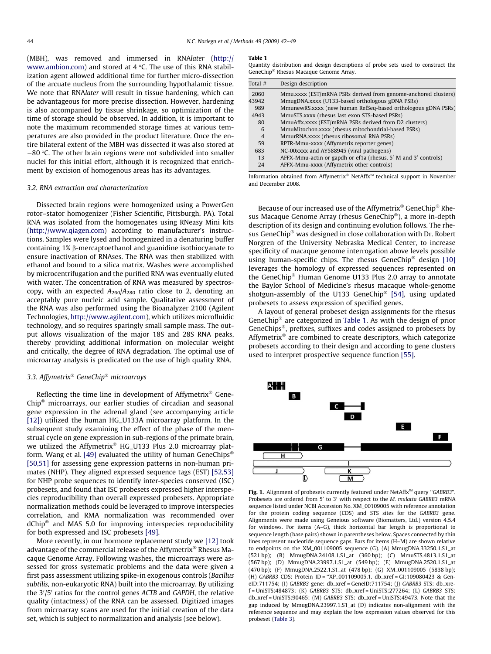<span id="page-2-0"></span>(MBH), was removed and immersed in RNAlater [\(http://](http://www.ambion.com) [www.ambion.com](http://www.ambion.com)) and stored at  $4^{\circ}$ C. The use of this RNA stabilization agent allowed additional time for further micro-dissection of the arcuate nucleus from the surrounding hypothalamic tissue. We note that RNAlater will result in tissue hardening, which can be advantageous for more precise dissection. However, hardening is also accompanied by tissue shrinkage, so optimization of the time of storage should be observed. In addition, it is important to note the maximum recommended storage times at various temperatures are also provided in the product literature. Once the entire bilateral extent of the MBH was dissected it was also stored at  $-80$  °C. The other brain regions were not subdivided into smaller nuclei for this initial effort, although it is recognized that enrichment by excision of homogenous areas has its advantages.

### 3.2. RNA extraction and characterization

Dissected brain regions were homogenized using a PowerGen rotor–stator homogenizer (Fisher Scientific, Pittsburgh, PA). Total RNA was isolated from the homogenates using RNeasy Mini kits (<http://www.qiagen.com>) according to manufacturer's instructions. Samples were lysed and homogenized in a denaturing buffer containing 1% b-mercaptoethanol and guanidine isothiocyanate to ensure inactivation of RNAses. The RNA was then stabilized with ethanol and bound to a silica matrix. Washes were accomplished by microcentrifugation and the purified RNA was eventually eluted with water. The concentration of RNA was measured by spectroscopy, with an expected  $A_{260}/A_{280}$  ratio close to 2, denoting an acceptably pure nucleic acid sample. Qualitative assessment of the RNA was also performed using the Bioanalyzer 2100 (Agilent Technologies, [http://www.agilent.com\)](http://www.agilent.com), which utilizes microfluidic technology, and so requires sparingly small sample mass. The output allows visualization of the major 18S and 28S RNA peaks, thereby providing additional information on molecular weight and critically, the degree of RNA degradation. The optimal use of microarray analysis is predicated on the use of high quality RNA.

# 3.3. Affymetrix® GeneChip® microarrays

Reflecting the time line in development of Affymetrix $^{\circledast}$  Gene-Chip $^{\circledast}$  microarrays, our earlier studies of circadian and seasonal gene expression in the adrenal gland (see accompanying article [\[12\]](#page-7-0)) utilized the human HG\_U133A microarray platform. In the subsequent study examining the effect of the phase of the menstrual cycle on gene expression in sub-regions of the primate brain, we utilized the Affymetrix® HG\_U133 Plus 2.0 microarray plat-form. Wang et al. [\[49\]](#page-7-0) evaluated the utility of human GeneChips® [\[50,51\]](#page-7-0) for assessing gene expression patterns in non-human primates (NHP). They aligned expressed sequence tags (EST) [\[52,53\]](#page-7-0) for NHP probe sequences to identify inter-species conserved (ISC) probesets, and found that ISC probesets expressed higher interspecies reproducibility than overall expressed probesets. Appropriate normalization methods could be leveraged to improve interspecies correlation, and RMA normalization was recommended over dChip<sup>®</sup> and MAS 5.0 for improving interspecies reproducibility for both expressed and ISC probesets [\[49\].](#page-7-0)

More recently, in our hormone replacement study we [\[12\]](#page-7-0) took advantage of the commercial release of the Affymetrix® Rhesus Macaque Genome Array. Following washes, the microarrays were assessed for gross systematic problems and the data were given a first pass assessment utilizing spike-in exogenous controls (Bacillus subtilis, non-eukaryotic RNA) built into the microarray. By utilizing the 3'/5' ratios for the control genes ACTB and GAPDH, the relative quality (intactness) of the RNA can be assessed. Digitized images from microarray scans are used for the initial creation of the data set, which is subject to normalization and analysis (see below).

#### Table 1

Quantity distribution and design descriptions of probe sets used to construct the GeneChip<sup>®</sup> Rhesus Macaque Genome Array.

| Total #        | Design description                                              |
|----------------|-----------------------------------------------------------------|
| 2060           | Mmu, xxxx (EST/mRNA PSRs derived from genome-anchored clusters) |
| 43942          | MmugDNA, xxxx (U133-based orthologous gDNA PSRs)                |
| 989            | MmunewRS.xxxx (new human RefSeq-based orthologous gDNA PSRs)    |
| 4943           | MmuSTS, xxxx (rhesus last exon STS-based PSRs)                  |
| 80             | MmuAffx,xxxx (EST/mRNA PSRs derived from D2 clusters)           |
| 6              | MmuMitochon.xxxx (rhesus mitochondrial-based PSRs)              |
| $\overline{4}$ | MmurRNA, xxxx (rhesus ribosomal RNA PSRs)                       |
| 59             | RPTR-Mmu-xxxx (Affymetrix reporter genes)                       |
| 683            | NC-00xxxx and AY588945 (viral pathogens)                        |
| 13             | AFFX-Mmu-actin or gapdh or ef1a (rhesus, 5' M and 3' controls)  |
| 24             | AFFX-Mmu-xxxx (Affymetrix other controls)                       |

Information obtained from Affymetrix® NetAffx<sup>™</sup> technical support in November and December 2008.

Because of our increased use of the Affymetrix® GeneChip® Rhesus Macaque Genome Array (rhesus GeneChip®), a more in-depth description of its design and continuing evolution follows. The rhesus GeneChip® was designed in close collaboration with Dr. Robert Norgren of the University Nebraska Medical Center, to increase specificity of macaque genome interrogation above levels possible using human-specific chips. The rhesus GeneChip® design [\[10\]](#page-7-0) leverages the homology of expressed sequences represented on the GeneChip® Human Genome U133 Plus 2.0 array to annotate the Baylor School of Medicine's rhesus macaque whole-genome shotgun-assembly of the U133 GeneChip® [\[54\]](#page-7-0), using updated probesets to assess expression of specified genes.

A layout of general probeset design assignments for the rhesus GeneChip® are categorized in Table 1. As with the design of prior GeneChips®, prefixes, suffixes and codes assigned to probesets by Affymetrix® are combined to create descriptors, which categorize probesets according to their design and according to gene clusters used to interpret prospective sequence function [\[55\]](#page-7-0).



Fig. 1. Alignment of probesets currently featured under NetAffx<sup>™</sup> query "GABRB3". Probesets are ordered from 5' to 3' with respect to the M. mulatta GABRB3 mRNA sequence listed under NCBI Accession No. XM\_00109005 with reference annotation for the protein coding sequence (CDS) and STS sites for the GABRB3 gene. Alignments were made using Geneious software (Biomatters, Ltd.) version 4.5.4 for windows. For items (A–G), thick horizontal bar length is proportional to sequence length (base pairs) shown in parentheses below. Spaces connected by thin lines represent nucleotide sequence gaps. Bars for items (H–M) are shown relative to endpoints on the XM\_001109005 sequence (G). (A) MmugDNA.33250.1.S1\_at (521 bp); (B) MmugDNA.24108.1.S1\_at (360 bp); (C) MmuSTS.4813.1.S1\_at (567 bp); (D) MmugDNA.23997.1.S1\_at (549 bp); (E) MmugDNA.2520.1.S1\_at (470 bp); (F) MmugDNA.2522.1.S1\_at (478 bp); (G) XM\_001109005 (5838 bp); (H) GABRB3 CDS: Protein ID = ''XP\_001109005.1. db\_xref = GI:109080423 & GeneID:711754; (I) GABRB3 gene: db\_xref = GeneID:711754; (J) GABRB3 STS: db\_xref = UniSTS:484873; (K) GABRB3 STS: db\_xref = UniSTS:277264; (L) GABRB3 STS: db\_xref = UniSTS:90465; (M) GABRB3 STS: db\_xref = UniSTS:49473. Note that the gap induced by MmugDNA.23997.1.S1\_at (D) indicates non-alignment with the reference sequence and may explain the low expression values observed for this probeset ([Table 3\)](#page-4-0).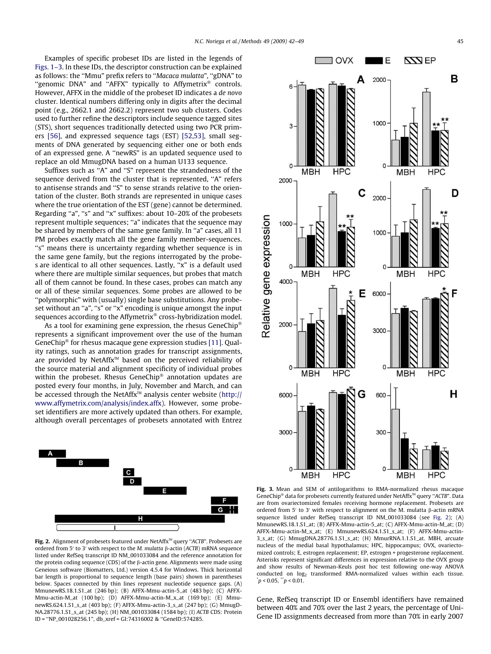<span id="page-3-0"></span>Examples of specific probeset IDs are listed in the legends of [Figs. 1–3](#page-2-0). In these IDs, the descriptor construction can be explained as follows: the ''Mmu" prefix refers to ''Macaca mulatta", ''gDNA" to "genomic DNA" and "AFFX" typically to Affymetrix® controls. However, AFFX in the middle of the probeset ID indicates a de novo cluster. Identical numbers differing only in digits after the decimal point (e.g., 2662.1 and 2662.2) represent two sub clusters. Codes used to further refine the descriptors include sequence tagged sites (STS), short sequences traditionally detected using two PCR primers [\[56\]](#page-7-0), and expressed sequence tags (EST) [\[52,53\],](#page-7-0) small segments of DNA generated by sequencing either one or both ends of an expressed gene. A ''newRS" is an updated sequence used to replace an old MmugDNA based on a human U133 sequence.

Suffixes such as ''A" and ''S" represent the strandedness of the sequence derived from the cluster that is represented, ''A" refers to antisense strands and ''S" to sense strands relative to the orientation of the cluster. Both strands are represented in unique cases where the true orientation of the EST (gene) cannot be determined. Regarding "a", "s" and "x" suffixes: about 10-20% of the probesets represent multiple sequences; "a" indicates that the sequence may be shared by members of the same gene family. In "a" cases, all 11 PM probes exactly match all the gene family member-sequences. ''s" means there is uncertainty regarding whether sequence is in the same gene family, but the regions interrogated by the probes are identical to all other sequences. Lastly, ''x" is a default used where there are multiple similar sequences, but probes that match all of them cannot be found. In these cases, probes can match any or all of these similar sequences. Some probes are allowed to be ''polymorphic" with (usually) single base substitutions. Any probeset without an "a", "s" or "x" encoding is unique amongst the input sequences according to the Affymetrix® cross-hybridization model.

As a tool for examining gene expression, the rhesus GeneChip® represents a significant improvement over the use of the human GeneChip® for rhesus macaque gene expression studies [\[11\].](#page-7-0) Quality ratings, such as annotation grades for transcript assignments, are provided by NetAffx<sup> $M$ </sup> based on the perceived reliability of the source material and alignment specificity of individual probes within the probeset. Rhesus GeneChip<sup>®</sup> annotation updates are posted every four months, in July, November and March, and can be accessed through the NetAffx $M$  analysis center website [\(http://](http://www.affymetrix.com/analysis/index.affx) [www.affymetrix.com/analysis/index.affx\)](http://www.affymetrix.com/analysis/index.affx). However, some probeset identifiers are more actively updated than others. For example, although overall percentages of probesets annotated with Entrez



Fig. 2. Alignment of probesets featured under NetAffx<sup>™</sup> query "ACTB". Probesets are ordered from 5' to 3' with respect to the M. mulatta  $\beta$ -actin (ACTB) mRNA sequence listed under RefSeq transcript ID NM\_001033084 and the reference annotation for the protein coding sequence (CDS) of the  $\beta$ -actin gene. Alignments were made using Geneious software (Biomatters, Ltd.) version 4.5.4 for Windows. Thick horizontal bar length is proportional to sequence length (base pairs) shown in parentheses below. Spaces connected by thin lines represent nucleotide sequence gaps. (A) MmunewRS.18.1.S1\_at (246 bp); (B) AFFX-Mmu-actin-5\_at (483 bp); (C) AFFX-Mmu-actin-M\_at (100 bp); (D) AFFX-Mmu-actin-M\_x\_at (169 bp); (E) MmunewRS.624.1.S1\_s\_at (403 bp); (F) AFFX-Mmu-actin-3\_s\_at (247 bp); (G) MmugD-NA.28776.1.S1\_s\_at (245 bp); (H) NM\_001033084 (1584 bp); (I) ACTB CDS: Protein ID = ''NP\_001028256.1", db\_xref = GI:74316002 & ''GeneID:574285.



Fig. 3. Mean and SEM of antilogarithms to RMA-normalized rhesus macaque GeneChip® data for probesets currently featured under NetAffx<sup>™</sup> query "ACTB". Data are from ovariectomized females receiving hormone replacement. Probesets are ordered from 5' to 3' with respect to alignment on the M. mulatta  $\beta$ -actin mRNA sequence listed under RefSeq transcript ID NM 001033084 (see Fig. 2); (A) MmunewRS.18.1.S1\_at; (B) AFFX-Mmu-actin-5\_at; (C) AFFX-Mmu-actin-M\_at; (D) AFFX-Mmu-actin-M\_x\_at; (E) MmunewRS.624.1.S1\_s\_at; (F) AFFX-Mmu-actin-3\_s\_at; (G) MmugDNA.28776.1.S1\_s\_at; (H) MmurRNA.1.1.S1\_at. MBH, arcuate nucleus of the medial basal hypothalamus; HPC, hippocampus; OVX, ovariectomized controls; E, estrogen replacement; EP, estrogen + progesterone replacement. Asterisks represent significant differences in expression relative to the OVX group and show results of Newman-Keuls post hoc test following one-way ANOVA conducted on  $log_2$  transformed RMA-normalized values within each tissue.  $p < 0.05$ ,  $p < 0.01$ .

Gene, RefSeq transcript ID or Ensembl identifiers have remained between 40% and 70% over the last 2 years, the percentage of Uni-Gene ID assignments decreased from more than 70% in early 2007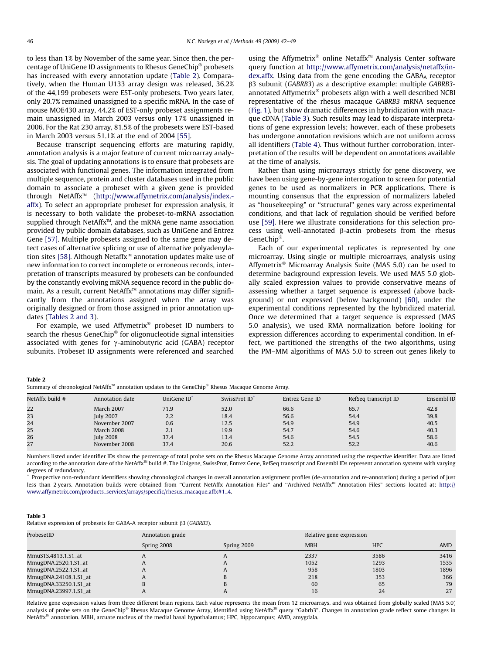<span id="page-4-0"></span>to less than 1% by November of the same year. Since then, the percentage of UniGene ID assignments to Rhesus GeneChip® probesets has increased with every annotation update (Table 2). Comparatively, when the Human U133 array design was released, 36.2% of the 44,199 probesets were EST-only probesets. Two years later, only 20.7% remained unassigned to a specific mRNA. In the case of mouse MOE430 array, 44.2% of EST-only probeset assignments remain unassigned in March 2003 versus only 17% unassigned in 2006. For the Rat 230 array, 81.5% of the probesets were EST-based in March 2003 versus 51.1% at the end of 2004 [\[55\].](#page-7-0)

Because transcript sequencing efforts are maturing rapidly, annotation analysis is a major feature of current microarray analysis. The goal of updating annotations is to ensure that probesets are associated with functional genes. The information integrated from multiple sequence, protein and cluster databases used in the public domain to associate a probeset with a given gene is provided through NetAffx<sup>™</sup> ([http://www.affymetrix.com/analysis/index.](http://www.affymetrix.com/analysis/index.affx) [affx\)](http://www.affymetrix.com/analysis/index.affx). To select an appropriate probeset for expression analysis, it is necessary to both validate the probeset-to-mRNA association supplied through NetAffx<sup>™</sup>, and the mRNA gene name association provided by public domain databases, such as UniGene and Entrez Gene [\[57\]](#page-7-0). Multiple probesets assigned to the same gene may detect cases of alternative splicing or use of alternative polyadenyla-tion sites [\[58\]](#page-7-0). Although Netaffx<sup> $M$ </sup> annotation updates make use of new information to correct incomplete or erroneous records, interpretation of transcripts measured by probesets can be confounded by the constantly evolving mRNA sequence record in the public domain. As a result, current NetAffx<sup>™</sup> annotations may differ significantly from the annotations assigned when the array was originally designed or from those assigned in prior annotation updates (Tables 2 and 3).

For example, we used Affymetrix<sup>®</sup> probeset ID numbers to search the rhesus GeneChip® for oligonucleotide signal intensities associated with genes for  $\gamma$ -aminobutyric acid (GABA) receptor subunits. Probeset ID assignments were referenced and searched using the Affymetrix® online Netaffx<sup>™</sup> Analysis Center software query function at [http://www.affymetrix.com/analysis/netaffx/in](http://www.affymetrix.com/analysis/netaffx/index.affx)[dex.affx](http://www.affymetrix.com/analysis/netaffx/index.affx). Using data from the gene encoding the GABAA receptor b3 subunit (GABRB3) as a descriptive example: multiple GABRB3 annotated Affymetrix® probesets align with a well described NCBI representative of the rhesus macaque GABRB3 mRNA sequence ([Fig. 1\)](#page-2-0), but show dramatic differences in hybridization with macaque cDNA (Table 3). Such results may lead to disparate interpretations of gene expression levels; however, each of these probesets has undergone annotation revisions which are not uniform across all identifiers ([Table 4](#page-5-0)). Thus without further corroboration, interpretation of the results will be dependent on annotations available at the time of analysis.

Rather than using microarrays strictly for gene discovery, we have been using gene-by-gene interrogation to screen for potential genes to be used as normalizers in PCR applications. There is mounting consensus that the expression of normalizers labeled as ''housekeeping" or ''structural" genes vary across experimental conditions, and that lack of regulation should be verified before use [\[59\]](#page-7-0). Here we illustrate considerations for this selection process using well-annotated  $\beta$ -actin probesets from the rhesus  $GeneChin^{\circledR}$ .

Each of our experimental replicates is represented by one microarray. Using single or multiple microarrays, analysis using Affymetrix<sup>®</sup> Microarray Analysis Suite (MAS 5.0) can be used to determine background expression levels. We used MAS 5.0 globally scaled expression values to provide conservative means of assessing whether a target sequence is expressed (above background) or not expressed (below background) [\[60\],](#page-7-0) under the experimental conditions represented by the hybridized material. Once we determined that a target sequence is expressed (MAS 5.0 analysis), we used RMA normalization before looking for expression differences according to experimental condition. In effect, we partitioned the strengths of the two algorithms, using the PM–MM algorithms of MAS 5.0 to screen out genes likely to

#### Table 2

Summary of chronological NetAffx $^\mathbb{M}$  annotation updates to the GeneChip® Rhesus Macaque Genome Array.

| NetAffx build # | Annotation date   | UniGene ID <sup>*</sup> | SwissProt ID <sup>*</sup> | Entrez Gene ID | RefSeq transcript ID | Ensembl ID |
|-----------------|-------------------|-------------------------|---------------------------|----------------|----------------------|------------|
| 22              | <b>March 2007</b> | 71.9                    | 52.0                      | 66.6           | 65.7                 | 42.8       |
| 23              | <b>July 2007</b>  | 2.2                     | 18.4                      | 56.6           | 54.4                 | 39.8       |
| 24              | November 2007     | 0.6                     | 12.5                      | 54.9           | 54.9                 | 40.5       |
| 25              | <b>March 2008</b> | 2.1                     | 19.9                      | 54.7           | 54.6                 | 40.3       |
| 26              | <b>July 2008</b>  | 37.4                    | 13.4                      | 54.6           | 54.5                 | 58.6       |
| 27              | November 2008     | 37.4                    | 20.6                      | 52.2           | 52.2                 | 40.6       |

Numbers listed under identifier IDs show the percentage of total probe sets on the Rhesus Macaque Genome Array annotated using the respective identifier. Data are listed according to the annotation date of the NetAffx<sup>M</sup> build #. The Unigene, SwissProt, Entrez Gene, RefSeq transcript and Ensembl IDs represent annotation systems with varying degrees of redundancy.

Prospective non-redundant identifiers showing chronological changes in overall annotation assignment profiles (de-annotation and re-annotation) during a period of just less than 2 years. Annotation builds were obtained from "Current NetAffx Annotation Files" and "Archived NetAffx<sup>m</sup> Annotation Files" sections located at: [http://](http://www.affymetrix.com/products_services/arrays/specific/rhesus_macaque.affx#1_4) [www.affymetrix.com/products\\_services/arrays/specific/rhesus\\_macaque.affx#1\\_4](http://www.affymetrix.com/products_services/arrays/specific/rhesus_macaque.affx#1_4).

## Table 3

Relative expression of probesets for GABA-A receptor subunit  $\beta$ 3 (GABRB3).

| ProbesetID            | Annotation grade |              | Relative gene expression |            |      |
|-----------------------|------------------|--------------|--------------------------|------------|------|
|                       | Spring 2008      | Spring 2009  | <b>MBH</b>               | <b>HPC</b> | AMD  |
| MmuSTS.4813.1.S1_at   |                  | $\mathsf{r}$ | 2337                     | 3586       | 3416 |
| MmugDNA.2520.1.S1_at  | A                | $\mathsf{A}$ | 1052                     | 1293       | 1535 |
| MmugDNA,2522.1.S1_at  | A                |              | 958                      | 1803       | 1896 |
| MmugDNA.24108.1.S1_at | A                |              | 218                      | 353        | 366  |
| MmugDNA.33250.1.S1_at | В                |              | 60                       | 65         | 79   |
| MmugDNA.23997.1.S1_at | n                | $\mathbf{r}$ | 16                       | 24         | 27   |

Relative gene expression values from three different brain regions. Each value represents the mean from 12 microarrays, and was obtained from globally scaled (MAS 5.0) analysis of probe sets on the GeneChip® Rhesus Macaque Genome Array, identified using NetAffx<sup>™</sup> query "Gabrb3". Changes in annotation grade reflect some changes in NetAffx<sup>™</sup> annotation. MBH, arcuate nucleus of the medial basal hypothalamus; HPC, hippocampus; AMD, amygdala.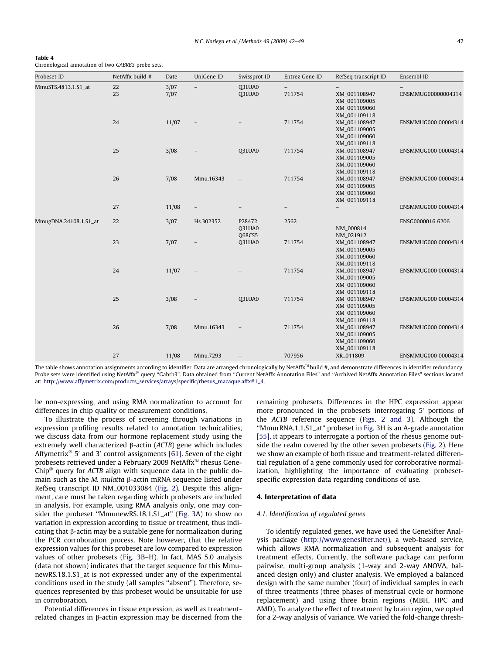| Table 4                                            |  |  |  |
|----------------------------------------------------|--|--|--|
| Chronological annotation of two GABRB3 probe sets. |  |  |  |

<span id="page-5-0"></span> $\overline{a}$   $\overline{a}$   $\overline{a}$   $\overline{a}$ 

| Probeset ID           | NetAffx build # | Date         | UniGene ID               | Swissprot ID                      | Entrez Gene ID                     | RefSeq transcript ID                                                         | Ensembl ID          |
|-----------------------|-----------------|--------------|--------------------------|-----------------------------------|------------------------------------|------------------------------------------------------------------------------|---------------------|
| MmuSTS.4813.1.S1_at   | 22<br>23        | 3/07<br>7/07 | $\overline{\phantom{a}}$ | Q3LUA0<br>Q3LUA0                  | $\overline{\phantom{a}}$<br>711754 | XM_001108947<br>XM_001109005<br>XM_001109060                                 | ENSMMUG00000004314  |
|                       | 24              | 11/07        |                          |                                   | 711754                             | XM_001109118<br>XM_001108947<br>XM_001109005<br>XM_001109060                 | ENSMMUG000 00004314 |
|                       | 25              | 3/08         |                          | Q3LUA0                            | 711754                             | XM_001109118<br>XM_001108947<br>XM_001109005<br>XM_001109060<br>XM_001109118 | ENSMMUG000 00004314 |
|                       | 26              | 7/08         | Mmu.16343                |                                   | 711754                             | XM_001108947<br>XM_001109005<br>XM_001109060<br>XM_001109118                 | ENSMMUG000 00004314 |
|                       | 27              | 11/08        |                          |                                   |                                    |                                                                              | ENSMMUG000 00004314 |
| MmugDNA.24108.1.S1_at | 22              | 3/07         | Hs.302352                | P28472<br>Q3LUA0<br><b>Q68CS5</b> | 2562                               | NM_000814<br>NM_021912                                                       | ENSG0000016 6206    |
|                       | 23              | 7/07         |                          | Q3LUA0                            | 711754                             | XM_001108947<br>XM_001109005<br>XM_001109060<br>XM_001109118                 | ENSMMUG000 00004314 |
|                       | 24              | 11/07        |                          |                                   | 711754                             | XM_001108947<br>XM_001109005<br>XM_001109060<br>XM_001109118                 | ENSMMUG000 00004314 |
|                       | 25              | 3/08         |                          | Q3LUA0                            | 711754                             | XM_001108947<br>XM_001109005<br>XM_001109060<br>XM_001109118                 | ENSMMUG000 00004314 |
|                       | 26              | 7/08         | Mmu.16343                |                                   | 711754                             | XM_001108947<br>XM_001109005<br>XM_001109060<br>XM_001109118                 | ENSMMUG000 00004314 |
|                       | 27              | 11/08        | Mmu.7293                 | $\overline{\phantom{a}}$          | 707956                             | XR_011809                                                                    | ENSMMUG000 00004314 |

The table shows annotation assignments according to identifier. Data are arranged chronologically by NetAffx<sup>™</sup> build #, and demonstrate differences in identifier redundancy. Probe sets were identified using NetAffx<sup>™</sup> query "Gabrb3". Data obtained from "Current NetAffx Annotation Files" and "Archived NetAffx Annotation Files" sections located at: [http://www.affymetrix.com/products\\_services/arrays/specific/rhesus\\_macaque.affx#1\\_4.](http://www.affymetrix.com/products_services/arrays/specific/rhesus_macaque.affx#1_4)

be non-expressing, and using RMA normalization to account for differences in chip quality or measurement conditions.

To illustrate the process of screening through variations in expression profiling results related to annotation technicalities, we discuss data from our hormone replacement study using the extremely well characterized  $\beta$ -actin (ACTB) gene which includes Affymetrix<sup>®</sup> 5' and 3' control assignments [\[61\]](#page-7-0). Seven of the eight probesets retrieved under a February 2009 NetAffx<sup>™</sup> rhesus Gene-Chip<sup>®</sup> query for ACTB align with sequence data in the public domain such as the *M. mulatta* B-actin mRNA sequence listed under RefSeq transcript ID NM\_001033084 [\(Fig. 2\)](#page-3-0). Despite this alignment, care must be taken regarding which probesets are included in analysis. For example, using RMA analysis only, one may consider the probeset ''MmunewRS.18.1.S1\_at" [\(Fig. 3A](#page-3-0)) to show no variation in expression according to tissue or treatment, thus indicating that  $\beta$ -actin may be a suitable gene for normalization during the PCR corroboration process. Note however, that the relative expression values for this probeset are low compared to expression values of other probesets [\(Fig. 3B](#page-3-0)–H). In fact, MAS 5.0 analysis (data not shown) indicates that the target sequence for this MmunewRS.18.1.S1\_at is not expressed under any of the experimental conditions used in the study (all samples ''absent"). Therefore, sequences represented by this probeset would be unsuitable for use in corroboration.

Potential differences in tissue expression, as well as treatmentrelated changes in  $\beta$ -actin expression may be discerned from the remaining probesets. Differences in the HPC expression appear more pronounced in the probesets interrogating 5' portions of the ACTB reference sequence ([Figs. 2 and 3](#page-3-0)). Although the ''MmurRNA.1.1.S1\_at" probeset in [Fig. 3](#page-3-0)H is an A-grade annotation [\[55\]](#page-7-0), it appears to interrogate a portion of the rhesus genome outside the realm covered by the other seven probesets ([Fig. 2](#page-3-0)). Here we show an example of both tissue and treatment-related differential regulation of a gene commonly used for corroborative normalization, highlighting the importance of evaluating probesetspecific expression data regarding conditions of use.

# 4. Interpretation of data

# 4.1. Identification of regulated genes

To identify regulated genes, we have used the GeneSifter Analysis package (<http://www.genesifter.net/>), a web-based service, which allows RMA normalization and subsequent analysis for treatment effects. Currently, the software package can perform pairwise, multi-group analysis (1-way and 2-way ANOVA, balanced design only) and cluster analysis. We employed a balanced design with the same number (four) of individual samples in each of three treatments (three phases of menstrual cycle or hormone replacement) and using three brain regions (MBH, HPC and AMD). To analyze the effect of treatment by brain region, we opted for a 2-way analysis of variance. We varied the fold-change thresh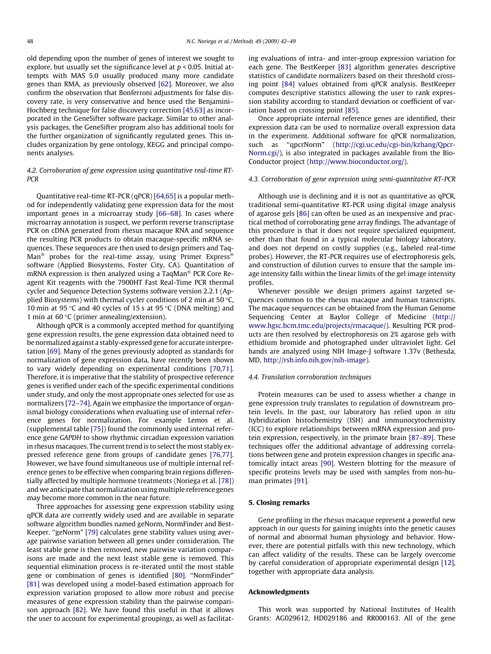old depending upon the number of genes of interest we sought to explore, but usually set the significance level at  $p < 0.05$ . Initial attempts with MAS 5.0 usually produced many more candidate genes than RMA, as previously observed [\[62\].](#page-7-0) Moreover, we also confirm the observation that Bonferroni adjustments for false discovery rate, is very conservative and hence used the Benjamini– Hochberg technique for false discovery correction [\[45,63\]](#page-7-0) as incorporated in the GeneSifter software package. Similar to other analysis packages, the GeneSifter program also has additional tools for the further organization of significantly regulated genes. This includes organization by gene ontology, KEGG and principal components analyses.

# 4.2. Corroboration of gene expression using quantitative real-time RT-**PCR**

Quantitative real-time RT-PCR (qPCR) [\[64,65\]](#page-7-0) is a popular method for independently validating gene expression data for the most important genes in a microarray study [\[66–68\]](#page-7-0). In cases where microarray annotation is suspect, we perform reverse transcriptase PCR on cDNA generated from rhesus macaque RNA and sequence the resulting PCR products to obtain macaque-specific mRNA sequences. These sequences are then used to design primers and Taq-Man $^{\circledast}$  probes for the real-time assay, using Primer Express $^{\circledast}$ software (Applied Biosystems, Foster City, CA). Quantitation of mRNA expression is then analyzed using a TaqMan® PCR Core Reagent Kit reagents with the 7900HT Fast Real-Time PCR thermal cycler and Sequence Detection Systems software version 2.2.1 (Applied Biosystems) with thermal cycler conditions of 2 min at 50  $\degree$ C, 10 min at 95 °C and 40 cycles of 15 s at 95 °C (DNA melting) and 1 min at 60  $\degree$ C (primer annealing/extension).

Although qPCR is a commonly accepted method for quantifying gene expression results, the gene expression data obtained need to be normalized against a stably-expressed gene for accurate interpretation [\[69\].](#page-7-0) Many of the genes previously adopted as standards for normalization of gene expression data, have recently been shown to vary widely depending on experimental conditions [\[70,71\].](#page-7-0) Therefore, it is imperative that the stability of prospective reference genes is verified under each of the specific experimental conditions under study, and only the most appropriate ones selected for use as normalizers [\[72–74\]](#page-7-0). Again we emphasize the importance of organismal biology considerations when evaluating use of internal reference genes for normalization. For example Lemos et al. (supplemental table [\[75\]\)](#page-7-0) found the commonly used internal reference gene GAPDH to show rhythmic circadian expression variation in rhesus macaques. The current trend is to select the most stably expressed reference gene from groups of candidate genes [\[76,77\].](#page-7-0) However, we have found simultaneous use of multiple internal reference genes to be effective when comparing brain regions differentially affected by multiple hormone treatments (Noriega et al. [\[78\]\)](#page-7-0) and we anticipate that normalization using multiple reference genes may become more common in the near future.

Three approaches for assessing gene expression stability using qPCR data are currently widely used and are available in separate software algorithm bundles named geNorm, NormFinder and Best-Keeper. "geNorm" [\[79\]](#page-7-0) calculates gene stability values using average pairwise variation between all genes under consideration. The least stable gene is then removed, new pairwise variation comparisons are made and the next least stable gene is removed. This sequential elimination process is re-iterated until the most stable gene or combination of genes is identified [\[80\]](#page-7-0). ''NormFinder" [\[81\]](#page-7-0) was developed using a model-based estimation approach for expression variation proposed to allow more robust and precise measures of gene expression stability than the pairwise comparison approach [\[82\]](#page-7-0). We have found this useful in that it allows the user to account for experimental groupings, as well as facilitating evaluations of intra- and inter-group expression variation for each gene. The BestKeeper [\[83\]](#page-7-0) algorithm generates descriptive statistics of candidate normalizers based on their threshold crossing point [\[84\]](#page-7-0) values obtained from qPCR analysis. BestKeeper computes descriptive statistics allowing the user to rank expression stability according to standard deviation or coefficient of variation based on crossing point [\[85\]](#page-7-0).

Once appropriate internal reference genes are identified, their expression data can be used to normalize overall expression data in the experiment. Additional software for qPCR normalization, such as ''qpcrNorm" [\(http://cgi.uc.edu/cgi-bin/kzhang/Qpcr-](http://cgi.uc.edu/cgi-bin/kzhang/QpcrNorm.cgi/)[Norm.cgi/\)](http://cgi.uc.edu/cgi-bin/kzhang/QpcrNorm.cgi/), is also integrated in packages available from the Bio-Conductor project (<http://www.bioconductor.org/>).

# 4.3. Corroboration of gene expression using semi-quantitative RT-PCR

Although use is declining and it is not as quantitative as qPCR, traditional semi-quantitative RT-PCR using digital image analysis of agarose gels [\[86\]](#page-7-0) can often be used as an inexpensive and practical method of corroborating gene array findings. The advantage of this procedure is that it does not require specialized equipment, other than that found in a typical molecular biology laboratory, and does not depend on costly supplies (e.g., labeled real-time probes). However, the RT-PCR requires use of electrophoresis gels, and construction of dilution curves to ensure that the sample image intensity falls within the linear limits of the gel image intensity profiles.

Whenever possible we design primers against targeted sequences common to the rhesus macaque and human transcripts. The macaque sequences can be obtained from the Human Genome Sequencing Center at Baylor College of Medicine [\(http://](http://www.hgsc.bcm.tmc.edu/projects/rmacaque/) [www.hgsc.bcm.tmc.edu/projects/rmacaque/](http://www.hgsc.bcm.tmc.edu/projects/rmacaque/)). Resulting PCR products are then resolved by electrophoresis on 2% agarose gels with ethidium bromide and photographed under ultraviolet light. Gel bands are analyzed using NIH Image-J software 1.37v (Bethesda, MD, [http://rsb.info.nih.gov/nih-image\)](http://rsb.info.nih.gov/nih-image).

## 4.4. Translation corroboration techniques

Protein measures can be used to assess whether a change in gene expression truly translates to regulation of downstream protein levels. In the past, our laboratory has relied upon in situ hybridization histochemistry (ISH) and immunocytochemistry (ICC) to explore relationships between mRNA expression and protein expression, respectively, in the primate brain [\[87–89\]](#page-7-0). These techniques offer the additional advantage of addressing correlations between gene and protein expression changes in specific anatomically intact areas [\[90\].](#page-7-0) Western blotting for the measure of specific proteins levels may be used with samples from non-human primates [\[91\].](#page-7-0)

## 5. Closing remarks

Gene profiling in the rhesus macaque represent a powerful new approach in our quests for gaining insights into the genetic causes of normal and abnormal human physiology and behavior. However, there are potential pitfalls with this new technology, which can affect validity of the results. These can be largely overcome by careful consideration of appropriate experimental design [\[12\],](#page-7-0) together with appropriate data analysis.

## Acknowledgments

This work was supported by National Institutes of Health Grants: AG029612, HD029186 and RR000163. All of the gene